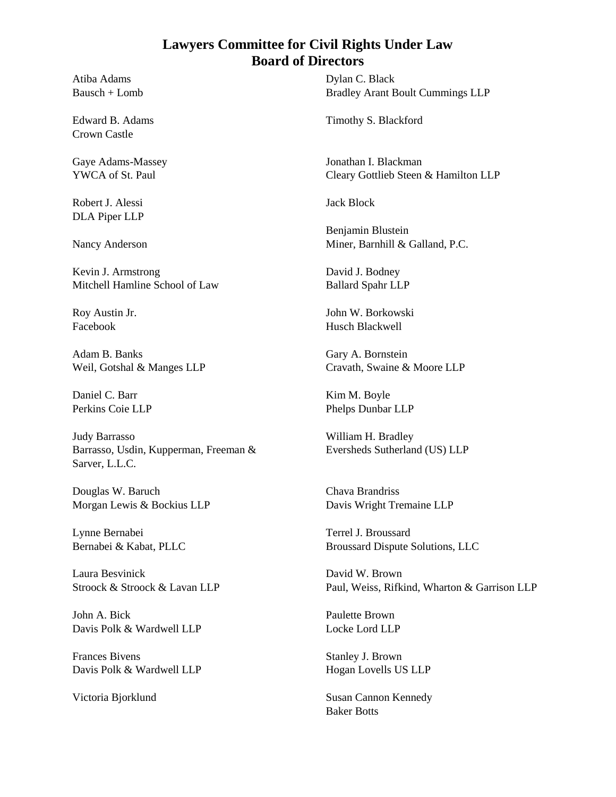Atiba Adams Bausch + Lomb

Edward B. Adams Crown Castle

Gaye Adams-Massey YWCA of St. Paul

Robert J. Alessi DLA Piper LLP

Nancy Anderson

Kevin J. Armstrong Mitchell Hamline School of Law

Roy Austin Jr. Facebook

Adam B. Banks Weil, Gotshal & Manges LLP

Daniel C. Barr Perkins Coie LLP

Judy Barrasso Barrasso, Usdin, Kupperman, Freeman & Sarver, L.L.C.

Douglas W. Baruch Morgan Lewis & Bockius LLP

Lynne Bernabei Bernabei & Kabat, PLLC

Laura Besvinick Stroock & Stroock & Lavan LLP

John A. Bick Davis Polk & Wardwell LLP

Frances Bivens Davis Polk & Wardwell LLP

Victoria Bjorklund

Dylan C. Black Bradley Arant Boult Cummings LLP

Timothy S. Blackford

Jonathan I. Blackman Cleary Gottlieb Steen & Hamilton LLP

Jack Block

Benjamin Blustein Miner, Barnhill & Galland, P.C.

David J. Bodney Ballard Spahr LLP

John W. Borkowski Husch Blackwell

Gary A. Bornstein Cravath, Swaine & Moore LLP

Kim M. Boyle Phelps Dunbar LLP

William H. Bradley Eversheds Sutherland (US) LLP

Chava Brandriss Davis Wright Tremaine LLP

Terrel J. Broussard Broussard Dispute Solutions, LLC

David W. Brown Paul, Weiss, Rifkind, Wharton & Garrison LLP

Paulette Brown Locke Lord LLP

Stanley J. Brown Hogan Lovells US LLP

Susan Cannon Kennedy Baker Botts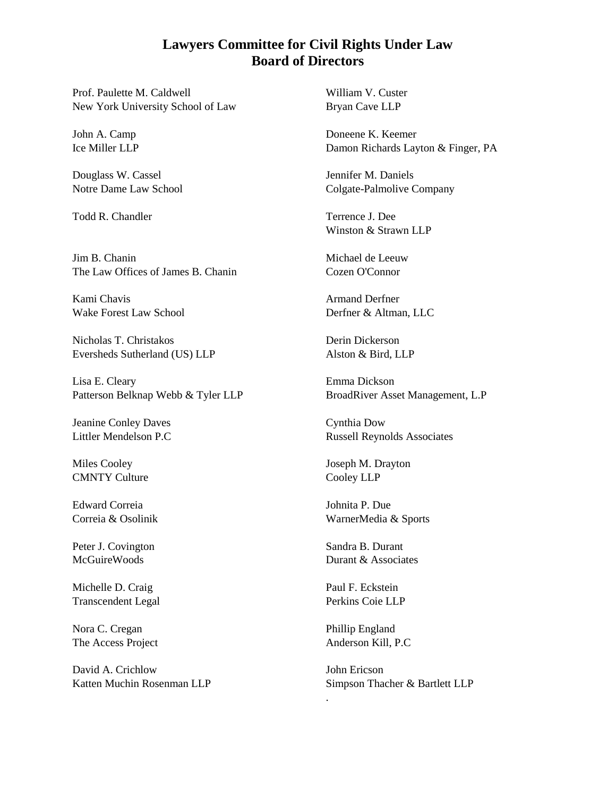Prof. Paulette M. Caldwell New York University School of Law

John A. Camp Ice Miller LLP

Douglass W. Cassel Notre Dame Law School

Todd R. Chandler

Jim B. Chanin The Law Offices of James B. Chanin

Kami Chavis Wake Forest Law School

Nicholas T. Christakos Eversheds Sutherland (US) LLP

Lisa E. Cleary Patterson Belknap Webb & Tyler LLP

Jeanine Conley Daves Littler Mendelson P.C

Miles Cooley CMNTY Culture

Edward Correia Correia & Osolinik

Peter J. Covington McGuireWoods

Michelle D. Craig Transcendent Legal

Nora C. Cregan The Access Project

David A. Crichlow Katten Muchin Rosenman LLP William V. Custer Bryan Cave LLP

Doneene K. Keemer Damon Richards Layton & Finger, PA

Jennifer M. Daniels Colgate-Palmolive Company

Terrence J. Dee Winston & Strawn LLP

Michael de Leeuw Cozen O'Connor

Armand Derfner Derfner & Altman, LLC

Derin Dickerson Alston & Bird, LLP

Emma Dickson BroadRiver Asset Management, L.P

Cynthia Dow Russell Reynolds Associates

Joseph M. Drayton Cooley LLP

Johnita P. Due WarnerMedia & Sports

Sandra B. Durant Durant & Associates

Paul F. Eckstein Perkins Coie LLP

Phillip England Anderson Kill, P.C

.

John Ericson Simpson Thacher & Bartlett LLP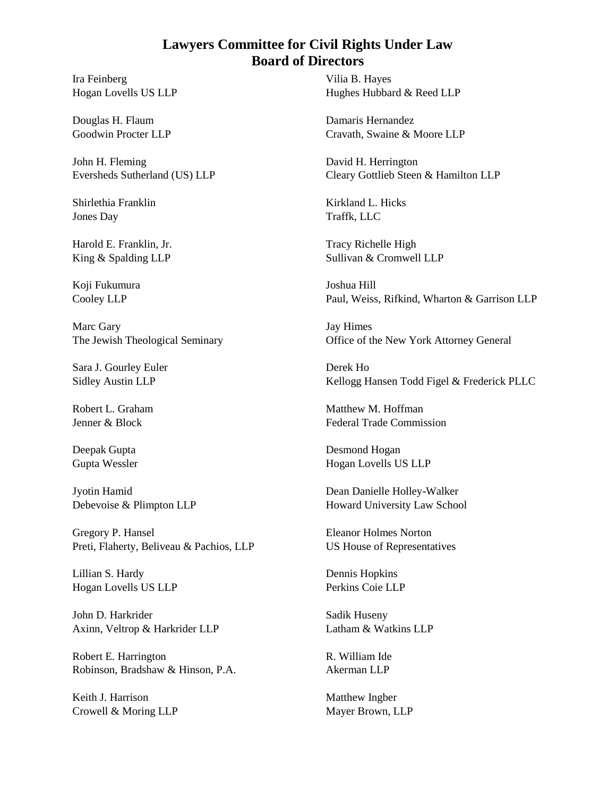Ira Feinberg Hogan Lovells US LLP

Douglas H. Flaum Goodwin Procter LLP

John H. Fleming Eversheds Sutherland (US) LLP

Shirlethia Franklin Jones Day

Harold E. Franklin, Jr. King & Spalding LLP

Koji Fukumura Cooley LLP

Marc Gary The Jewish Theological Seminary

Sara J. Gourley Euler Sidley Austin LLP

Robert L. Graham Jenner & Block

Deepak Gupta Gupta Wessler

Jyotin Hamid Debevoise & Plimpton LLP

Gregory P. Hansel Preti, Flaherty, Beliveau & Pachios, LLP

Lillian S. Hardy Hogan Lovells US LLP

John D. Harkrider Axinn, Veltrop & Harkrider LLP

Robert E. Harrington Robinson, Bradshaw & Hinson, P.A.

Keith J. Harrison Crowell & Moring LLP Vilia B. Hayes Hughes Hubbard & Reed LLP

Damaris Hernandez Cravath, Swaine & Moore LLP

David H. Herrington Cleary Gottlieb Steen & Hamilton LLP

Kirkland L. Hicks Traffk, LLC

Tracy Richelle High Sullivan & Cromwell LLP

Joshua Hill Paul, Weiss, Rifkind, Wharton & Garrison LLP

Jay Himes Office of the New York Attorney General

Derek Ho Kellogg Hansen Todd Figel & Frederick PLLC

Matthew M. Hoffman Federal Trade Commission

Desmond Hogan Hogan Lovells US LLP

Dean Danielle Holley-Walker Howard University Law School

Eleanor Holmes Norton US House of Representatives

Dennis Hopkins Perkins Coie LLP

Sadik Huseny Latham & Watkins LLP

R. William Ide Akerman LLP

Matthew Ingber Mayer Brown, LLP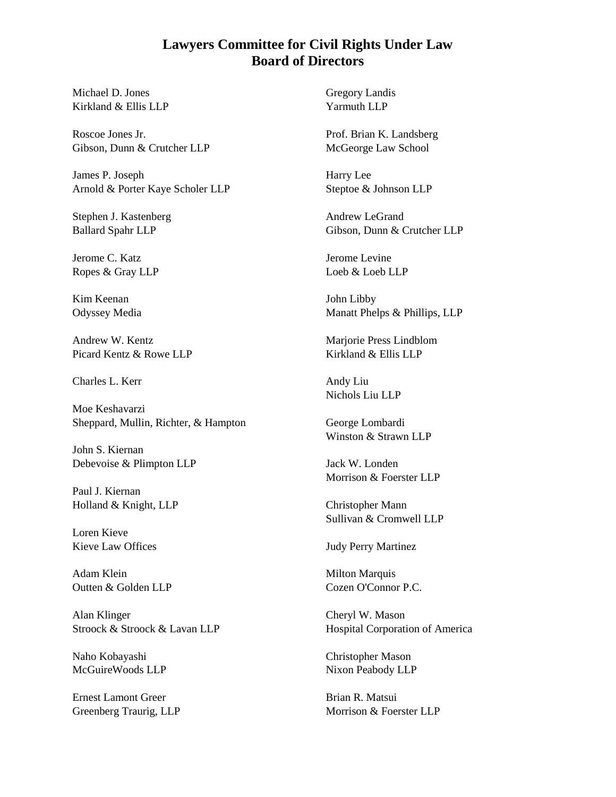Michael D. Jones Kirkland & Ellis LLP

Roscoe Jones Jr. Gibson, Dunn & Crutcher LLP

James P. Joseph Arnold & Porter Kaye Scholer LLP

Stephen J. Kastenberg Ballard Spahr LLP

Jerome C. Katz Ropes & Gray LLP

Kim Keenan Odyssey Media

Andrew W. Kentz Picard Kentz & Rowe LLP

Charles L. Kerr

Moe Keshavarzi Sheppard, Mullin, Richter, & Hampton

John S. Kiernan Debevoise & Plimpton LLP

Paul J. Kiernan Holland & Knight, LLP

Loren Kieve Kieve Law Offices

Adam Klein Outten & Golden LLP

Alan Klinger Stroock & Stroock & Lavan LLP

Naho Kobayashi McGuireWoods LLP

Ernest Lamont Greer Greenberg Traurig, LLP Gregory Landis Yarmuth LLP

Prof. Brian K. Landsberg McGeorge Law School

Harry Lee Steptoe & Johnson LLP

Andrew LeGrand Gibson, Dunn & Crutcher LLP

Jerome Levine Loeb & Loeb LLP

John Libby Manatt Phelps & Phillips, LLP

Marjorie Press Lindblom Kirkland & Ellis LLP

Andy Liu Nichols Liu LLP

George Lombardi Winston & Strawn LLP

Jack W. Londen Morrison & Foerster LLP

Christopher Mann Sullivan & Cromwell LLP

Judy Perry Martinez

Milton Marquis Cozen O'Connor P.C.

Cheryl W. Mason Hospital Corporation of America

Christopher Mason Nixon Peabody LLP

Brian R. Matsui Morrison & Foerster LLP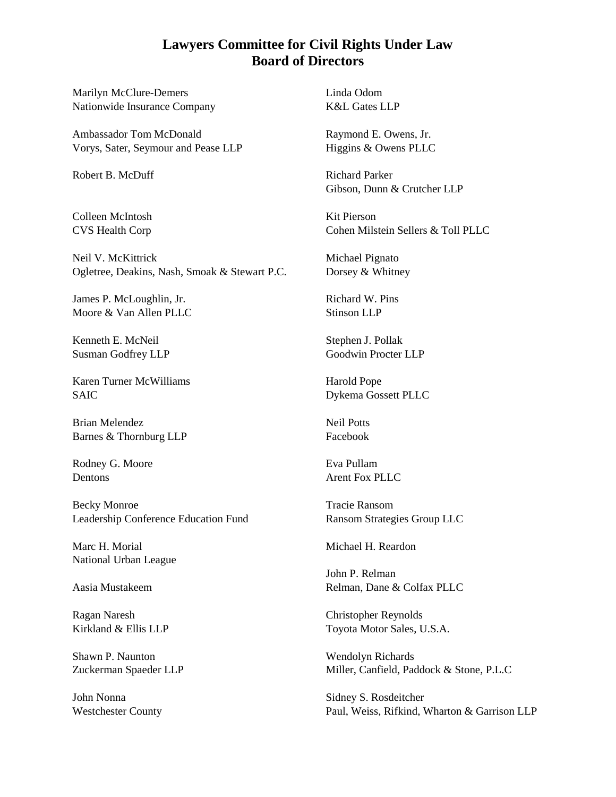Marilyn McClure-Demers Nationwide Insurance Company

Ambassador Tom McDonald Vorys, Sater, Seymour and Pease LLP

Robert B. McDuff

Colleen McIntosh CVS Health Corp

Neil V. McKittrick Ogletree, Deakins, Nash, Smoak & Stewart P.C.

James P. McLoughlin, Jr. Moore & Van Allen PLLC

Kenneth E. McNeil Susman Godfrey LLP

Karen Turner McWilliams SAIC

Brian Melendez Barnes & Thornburg LLP

Rodney G. Moore Dentons

Becky Monroe Leadership Conference Education Fund

Marc H. Morial National Urban League

Aasia Mustakeem

Ragan Naresh Kirkland & Ellis LLP

Shawn P. Naunton Zuckerman Spaeder LLP

John Nonna Westchester County Linda Odom K&L Gates LLP

Raymond E. Owens, Jr. Higgins & Owens PLLC

Richard Parker Gibson, Dunn & Crutcher LLP

Kit Pierson Cohen Milstein Sellers & Toll PLLC

Michael Pignato Dorsey & Whitney

Richard W. Pins Stinson LLP

Stephen J. Pollak Goodwin Procter LLP

Harold Pope Dykema Gossett PLLC

Neil Potts Facebook

Eva Pullam Arent Fox PLLC

Tracie Ransom Ransom Strategies Group LLC

Michael H. Reardon

John P. Relman Relman, Dane & Colfax PLLC

Christopher Reynolds Toyota Motor Sales, U.S.A.

Wendolyn Richards Miller, Canfield, Paddock & Stone, P.L.C

Sidney S. Rosdeitcher Paul, Weiss, Rifkind, Wharton & Garrison LLP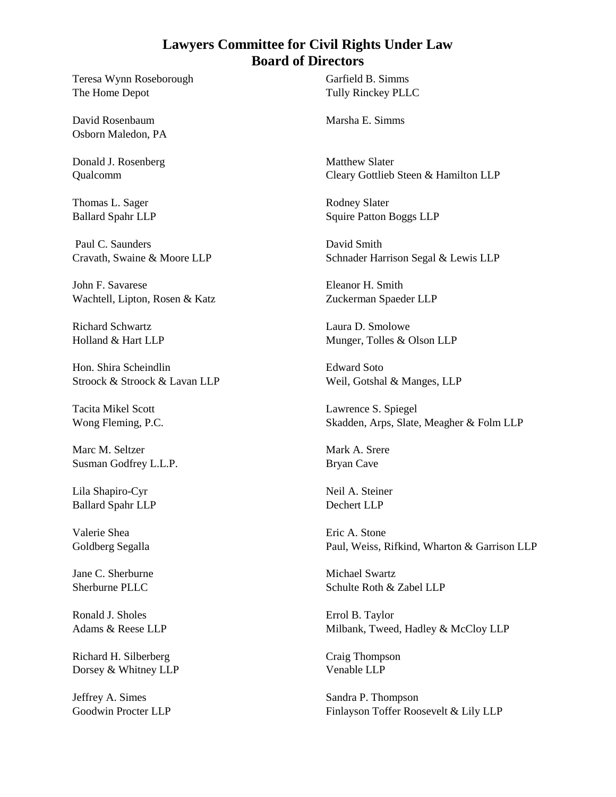Teresa Wynn Roseborough The Home Depot

David Rosenbaum Osborn Maledon, PA

Donald J. Rosenberg Qualcomm

Thomas L. Sager Ballard Spahr LLP

Paul C. Saunders Cravath, Swaine & Moore LLP

John F. Savarese Wachtell, Lipton, Rosen & Katz

Richard Schwartz Holland & Hart LLP

Hon. Shira Scheindlin Stroock & Stroock & Lavan LLP

Tacita Mikel Scott Wong Fleming, P.C.

Marc M. Seltzer Susman Godfrey L.L.P.

Lila Shapiro-Cyr Ballard Spahr LLP

Valerie Shea Goldberg Segalla

Jane C. Sherburne Sherburne PLLC

Ronald J. Sholes Adams & Reese LLP

Richard H. Silberberg Dorsey & Whitney LLP

Jeffrey A. Simes Goodwin Procter LLP Garfield B. Simms Tully Rinckey PLLC

Marsha E. Simms

Matthew Slater Cleary Gottlieb Steen & Hamilton LLP

Rodney Slater Squire Patton Boggs LLP

David Smith Schnader Harrison Segal & Lewis LLP

Eleanor H. Smith Zuckerman Spaeder LLP

Laura D. Smolowe Munger, Tolles & Olson LLP

Edward Soto Weil, Gotshal & Manges, LLP

Lawrence S. Spiegel Skadden, Arps, Slate, Meagher & Folm LLP

Mark A. Srere Bryan Cave

Neil A. Steiner Dechert LLP

Eric A. Stone Paul, Weiss, Rifkind, Wharton & Garrison LLP

Michael Swartz Schulte Roth & Zabel LLP

Errol B. Taylor Milbank, Tweed, Hadley & McCloy LLP

Craig Thompson Venable LLP

Sandra P. Thompson Finlayson Toffer Roosevelt & Lily LLP